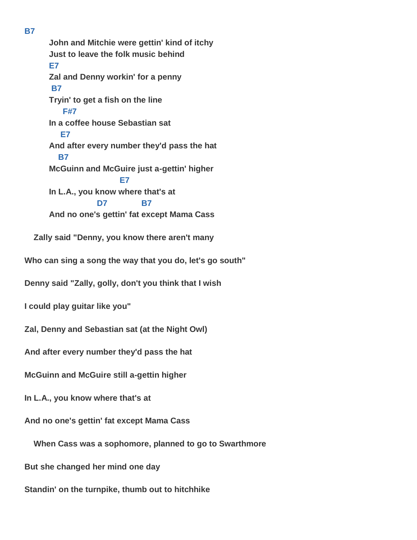**John and Mitchie were gettin' kind of itchy Just to leave the folk music behind E7 Zal and Denny workin' for a penny B7 Tryin' to get a fish on the line F#7 In a coffee house Sebastian sat E7 And after every number they'd pass the hat B7 McGuinn and McGuire just a-gettin' higher E7 In L.A., you know where that's at D7** B7 **And no one's gettin' fat except Mama Cass Zally said "Denny, you know there aren't many Who can sing a song the way that you do, let's go south" Denny said "Zally, golly, don't you think that I wish I could play guitar like you" Zal, Denny and Sebastian sat (at the Night Owl) And after every number they'd pass the hat McGuinn and McGuire still a-gettin higher In L.A., you know where that's at And no one's gettin' fat except Mama Cass**

 **When Cass was a sophomore, planned to go to Swarthmore**

**But she changed her mind one day**

**Standin' on the turnpike, thumb out to hitchhike**